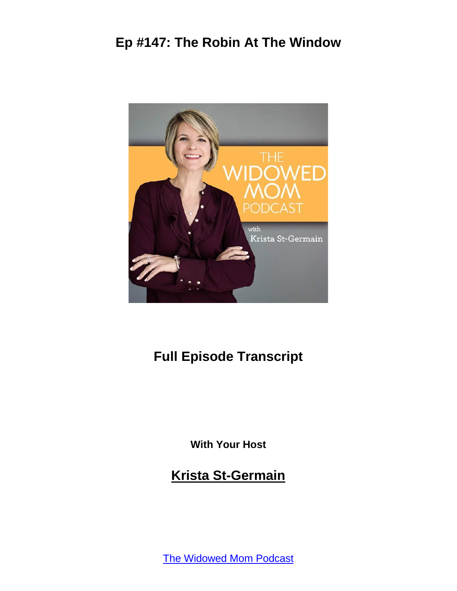

# **Full Episode Transcript**

**With Your Host**

**Krista St-Germain**

[The Widowed Mom Podcast](https://coachingwithkrista.com/podcast)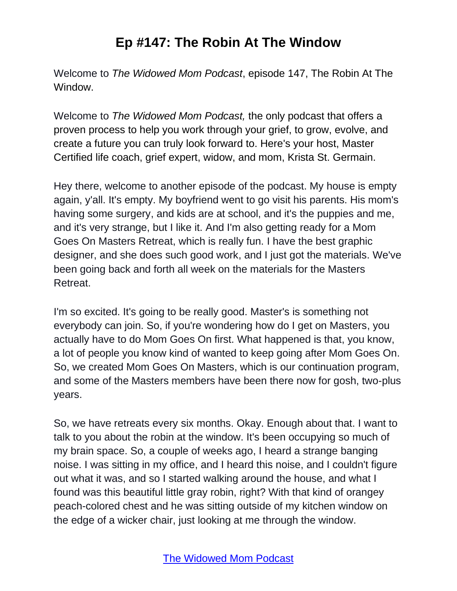Welcome to *The Widowed Mom Podcast*, episode 147, The Robin At The Window.

Welcome to *The Widowed Mom Podcast,* the only podcast that offers a proven process to help you work through your grief, to grow, evolve, and create a future you can truly look forward to. Here's your host, Master Certified life coach, grief expert, widow, and mom, Krista St. Germain.

Hey there, welcome to another episode of the podcast. My house is empty again, y'all. It's empty. My boyfriend went to go visit his parents. His mom's having some surgery, and kids are at school, and it's the puppies and me, and it's very strange, but I like it. And I'm also getting ready for a Mom Goes On Masters Retreat, which is really fun. I have the best graphic designer, and she does such good work, and I just got the materials. We've been going back and forth all week on the materials for the Masters Retreat.

I'm so excited. It's going to be really good. Master's is something not everybody can join. So, if you're wondering how do I get on Masters, you actually have to do Mom Goes On first. What happened is that, you know, a lot of people you know kind of wanted to keep going after Mom Goes On. So, we created Mom Goes On Masters, which is our continuation program, and some of the Masters members have been there now for gosh, two-plus years.

So, we have retreats every six months. Okay. Enough about that. I want to talk to you about the robin at the window. It's been occupying so much of my brain space. So, a couple of weeks ago, I heard a strange banging noise. I was sitting in my office, and I heard this noise, and I couldn't figure out what it was, and so I started walking around the house, and what I found was this beautiful little gray robin, right? With that kind of orangey peach-colored chest and he was sitting outside of my kitchen window on the edge of a wicker chair, just looking at me through the window.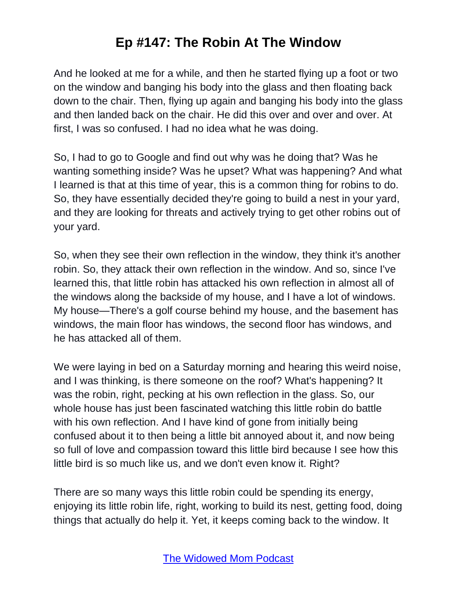And he looked at me for a while, and then he started flying up a foot or two on the window and banging his body into the glass and then floating back down to the chair. Then, flying up again and banging his body into the glass and then landed back on the chair. He did this over and over and over. At first, I was so confused. I had no idea what he was doing.

So, I had to go to Google and find out why was he doing that? Was he wanting something inside? Was he upset? What was happening? And what I learned is that at this time of year, this is a common thing for robins to do. So, they have essentially decided they're going to build a nest in your yard, and they are looking for threats and actively trying to get other robins out of your yard.

So, when they see their own reflection in the window, they think it's another robin. So, they attack their own reflection in the window. And so, since I've learned this, that little robin has attacked his own reflection in almost all of the windows along the backside of my house, and I have a lot of windows. My house—There's a golf course behind my house, and the basement has windows, the main floor has windows, the second floor has windows, and he has attacked all of them.

We were laying in bed on a Saturday morning and hearing this weird noise, and I was thinking, is there someone on the roof? What's happening? It was the robin, right, pecking at his own reflection in the glass. So, our whole house has just been fascinated watching this little robin do battle with his own reflection. And I have kind of gone from initially being confused about it to then being a little bit annoyed about it, and now being so full of love and compassion toward this little bird because I see how this little bird is so much like us, and we don't even know it. Right?

There are so many ways this little robin could be spending its energy, enjoying its little robin life, right, working to build its nest, getting food, doing things that actually do help it. Yet, it keeps coming back to the window. It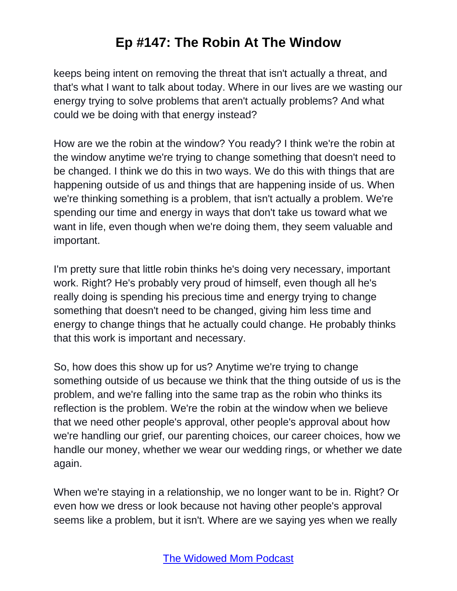keeps being intent on removing the threat that isn't actually a threat, and that's what I want to talk about today. Where in our lives are we wasting our energy trying to solve problems that aren't actually problems? And what could we be doing with that energy instead?

How are we the robin at the window? You ready? I think we're the robin at the window anytime we're trying to change something that doesn't need to be changed. I think we do this in two ways. We do this with things that are happening outside of us and things that are happening inside of us. When we're thinking something is a problem, that isn't actually a problem. We're spending our time and energy in ways that don't take us toward what we want in life, even though when we're doing them, they seem valuable and important.

I'm pretty sure that little robin thinks he's doing very necessary, important work. Right? He's probably very proud of himself, even though all he's really doing is spending his precious time and energy trying to change something that doesn't need to be changed, giving him less time and energy to change things that he actually could change. He probably thinks that this work is important and necessary.

So, how does this show up for us? Anytime we're trying to change something outside of us because we think that the thing outside of us is the problem, and we're falling into the same trap as the robin who thinks its reflection is the problem. We're the robin at the window when we believe that we need other people's approval, other people's approval about how we're handling our grief, our parenting choices, our career choices, how we handle our money, whether we wear our wedding rings, or whether we date again.

When we're staying in a relationship, we no longer want to be in. Right? Or even how we dress or look because not having other people's approval seems like a problem, but it isn't. Where are we saying yes when we really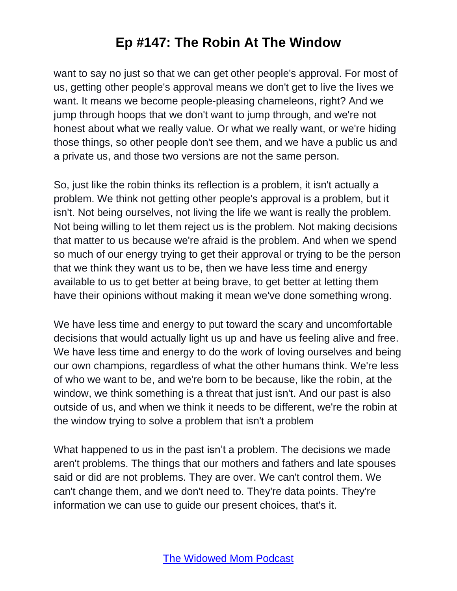want to say no just so that we can get other people's approval. For most of us, getting other people's approval means we don't get to live the lives we want. It means we become people-pleasing chameleons, right? And we jump through hoops that we don't want to jump through, and we're not honest about what we really value. Or what we really want, or we're hiding those things, so other people don't see them, and we have a public us and a private us, and those two versions are not the same person.

So, just like the robin thinks its reflection is a problem, it isn't actually a problem. We think not getting other people's approval is a problem, but it isn't. Not being ourselves, not living the life we want is really the problem. Not being willing to let them reject us is the problem. Not making decisions that matter to us because we're afraid is the problem. And when we spend so much of our energy trying to get their approval or trying to be the person that we think they want us to be, then we have less time and energy available to us to get better at being brave, to get better at letting them have their opinions without making it mean we've done something wrong.

We have less time and energy to put toward the scary and uncomfortable decisions that would actually light us up and have us feeling alive and free. We have less time and energy to do the work of loving ourselves and being our own champions, regardless of what the other humans think. We're less of who we want to be, and we're born to be because, like the robin, at the window, we think something is a threat that just isn't. And our past is also outside of us, and when we think it needs to be different, we're the robin at the window trying to solve a problem that isn't a problem

What happened to us in the past isn't a problem. The decisions we made aren't problems. The things that our mothers and fathers and late spouses said or did are not problems. They are over. We can't control them. We can't change them, and we don't need to. They're data points. They're information we can use to guide our present choices, that's it.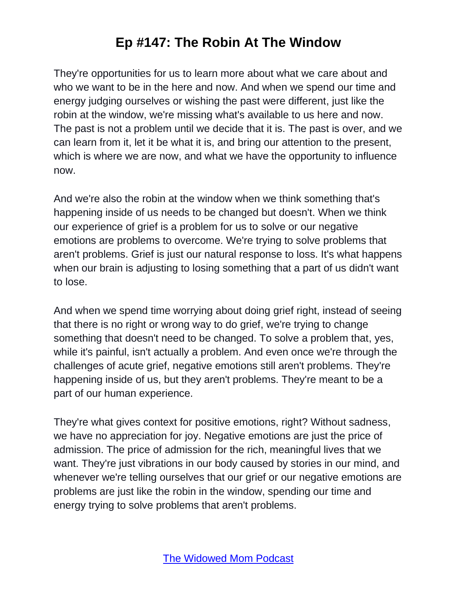They're opportunities for us to learn more about what we care about and who we want to be in the here and now. And when we spend our time and energy judging ourselves or wishing the past were different, just like the robin at the window, we're missing what's available to us here and now. The past is not a problem until we decide that it is. The past is over, and we can learn from it, let it be what it is, and bring our attention to the present, which is where we are now, and what we have the opportunity to influence now.

And we're also the robin at the window when we think something that's happening inside of us needs to be changed but doesn't. When we think our experience of grief is a problem for us to solve or our negative emotions are problems to overcome. We're trying to solve problems that aren't problems. Grief is just our natural response to loss. It's what happens when our brain is adjusting to losing something that a part of us didn't want to lose.

And when we spend time worrying about doing grief right, instead of seeing that there is no right or wrong way to do grief, we're trying to change something that doesn't need to be changed. To solve a problem that, yes, while it's painful, isn't actually a problem. And even once we're through the challenges of acute grief, negative emotions still aren't problems. They're happening inside of us, but they aren't problems. They're meant to be a part of our human experience.

They're what gives context for positive emotions, right? Without sadness, we have no appreciation for joy. Negative emotions are just the price of admission. The price of admission for the rich, meaningful lives that we want. They're just vibrations in our body caused by stories in our mind, and whenever we're telling ourselves that our grief or our negative emotions are problems are just like the robin in the window, spending our time and energy trying to solve problems that aren't problems.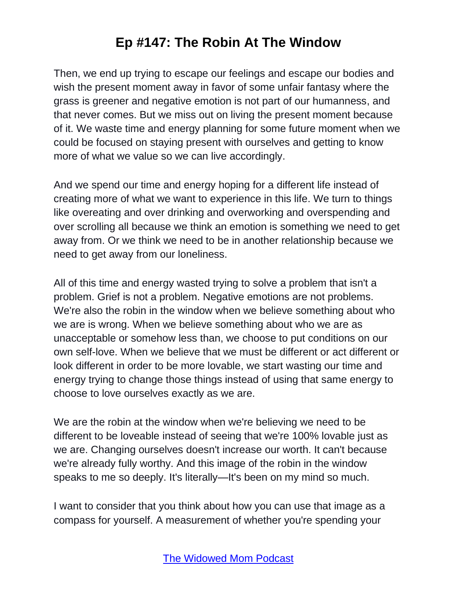Then, we end up trying to escape our feelings and escape our bodies and wish the present moment away in favor of some unfair fantasy where the grass is greener and negative emotion is not part of our humanness, and that never comes. But we miss out on living the present moment because of it. We waste time and energy planning for some future moment when we could be focused on staying present with ourselves and getting to know more of what we value so we can live accordingly.

And we spend our time and energy hoping for a different life instead of creating more of what we want to experience in this life. We turn to things like overeating and over drinking and overworking and overspending and over scrolling all because we think an emotion is something we need to get away from. Or we think we need to be in another relationship because we need to get away from our loneliness.

All of this time and energy wasted trying to solve a problem that isn't a problem. Grief is not a problem. Negative emotions are not problems. We're also the robin in the window when we believe something about who we are is wrong. When we believe something about who we are as unacceptable or somehow less than, we choose to put conditions on our own self-love. When we believe that we must be different or act different or look different in order to be more lovable, we start wasting our time and energy trying to change those things instead of using that same energy to choose to love ourselves exactly as we are.

We are the robin at the window when we're believing we need to be different to be loveable instead of seeing that we're 100% lovable just as we are. Changing ourselves doesn't increase our worth. It can't because we're already fully worthy. And this image of the robin in the window speaks to me so deeply. It's literally—It's been on my mind so much.

I want to consider that you think about how you can use that image as a compass for yourself. A measurement of whether you're spending your